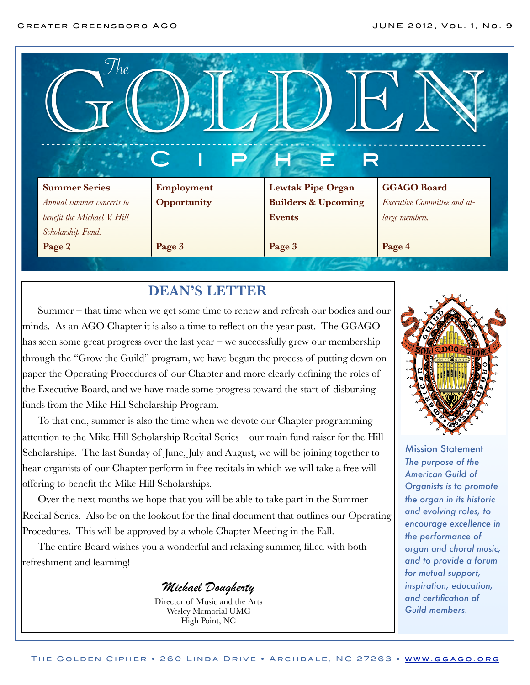| The                                                                              |             |                                |                             |
|----------------------------------------------------------------------------------|-------------|--------------------------------|-----------------------------|
| <b>PHE</b><br>R                                                                  |             |                                |                             |
|                                                                                  |             |                                |                             |
|                                                                                  | Employment  | <b>Lewtak Pipe Organ</b>       | <b>GGAGO Board</b>          |
|                                                                                  | Opportunity | <b>Builders &amp; Upcoming</b> | Executive Committee and at- |
| <b>Summer Series</b><br>Annual summer concerts to<br>benefit the Michael V. Hill |             | <b>Events</b>                  | large members.              |
| Scholarship Fund.                                                                |             |                                |                             |

## **DEAN'S LETTER**

Summer – that time when we get some time to renew and refresh our bodies and our minds. As an AGO Chapter it is also a time to reflect on the year past. The GGAGO has seen some great progress over the last year – we successfully grew our membership through the "Grow the Guild" program, we have begun the process of putting down on paper the Operating Procedures of our Chapter and more clearly defining the roles of the Executive Board, and we have made some progress toward the start of disbursing funds from the Mike Hill Scholarship Program.

To that end, summer is also the time when we devote our Chapter programming attention to the Mike Hill Scholarship Recital Series – our main fund raiser for the Hill Scholarships. The last Sunday of June, July and August, we will be joining together to hear organists of our Chapter perform in free recitals in which we will take a free will offering to benefit the Mike Hill Scholarships.

Over the next months we hope that you will be able to take part in the Summer Recital Series. Also be on the lookout for the final document that outlines our Operating Procedures. This will be approved by a whole Chapter Meeting in the Fall.

The entire Board wishes you a wonderful and relaxing summer, filled with both refreshment and learning!

*Michael Dougherty*

Director of Music and the Arts Wesley Memorial UMC High Point, NC



Mission Statement *The purpose of the American Guild of Organists is to promote the organ in its historic and evolving roles, to encourage excellence in the performance of organ and choral music, and to provide a forum for mutual support, inspiration, education, and certification of Guild members.*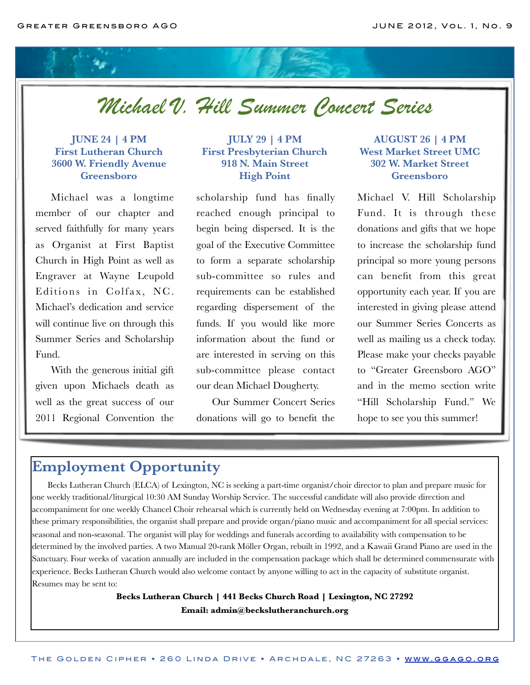*Michael V. Hill Summer Concert Series*

#### **JUNE 24 | 4 PM First Lutheran Church 3600 W. Friendly Avenue Greensboro**

Michael was a longtime member of our chapter and served faithfully for many years as Organist at First Baptist Church in High Point as well as Engraver at Wayne Leupold Editions in Colfax, NC. Michael's dedication and service will continue live on through this Summer Series and Scholarship Fund.

With the generous initial gift given upon Michaels death as well as the great success of our 2011 Regional Convention the

#### **JULY 29 | 4 PM First Presbyterian Church 918 N. Main Street High Point**

scholarship fund has finally reached enough principal to begin being dispersed. It is the goal of the Executive Committee to form a separate scholarship sub-committee so rules and requirements can be established regarding dispersement of the funds. If you would like more information about the fund or are interested in serving on this sub-committee please contact our dean Michael Dougherty.

Our Summer Concert Series donations will go to benefit the

#### **AUGUST 26 | 4 PM West Market Street UMC 302 W. Market Street Greensboro**

Michael V. Hill Scholarship Fund. It is through these donations and gifts that we hope to increase the scholarship fund principal so more young persons can benefit from this great opportunity each year. If you are interested in giving please attend our Summer Series Concerts as well as mailing us a check today. Please make your checks payable to "Greater Greensboro AGO" and in the memo section write "Hill Scholarship Fund." We hope to see you this summer!

# **Employment Opportunity**

Becks Lutheran Church (ELCA) of Lexington, NC is seeking a part-time organist/choir director to plan and prepare music for one weekly traditional/liturgical 10:30 AM Sunday Worship Service. The successful candidate will also provide direction and accompaniment for one weekly Chancel Choir rehearsal which is currently held on Wednesday evening at 7:00pm. In addition to these primary responsibilities, the organist shall prepare and provide organ/piano music and accompaniment for all special services: seasonal and non-seasonal. The organist will play for weddings and funerals according to availability with compensation to be determined by the involved parties. A two Manual 20-rank Möller Organ, rebuilt in 1992, and a Kawaii Grand Piano are used in the Sanctuary. Four weeks of vacation annually are included in the compensation package which shall be determined commensurate with experience. Becks Lutheran Church would also welcome contact by anyone willing to act in the capacity of substitute organist. Resumes may be sent to:

> **Becks Lutheran Church | 441 Becks Church Road | Lexington, NC 27292 Email: [admin@beckslutheranchurch.org](mailto:admin@beckslutheranchurch.org)**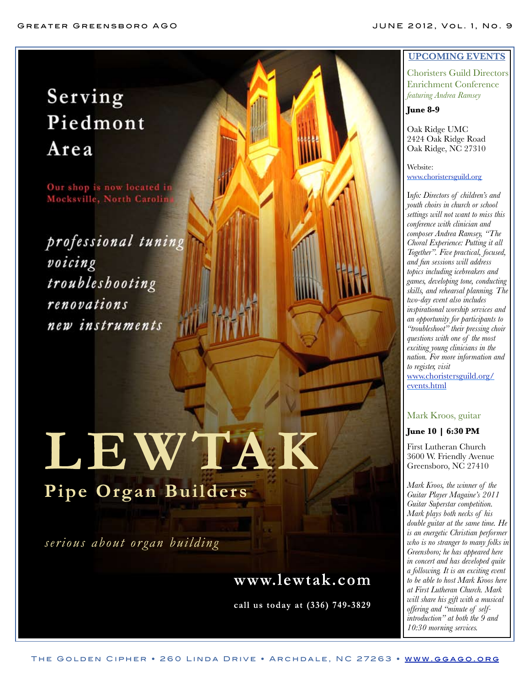# Serving Piedmont Area

Our shop is now located in Mocksville, North Carolin

professional tuning voicing troubleshooting renovations new instruments

# **LEWTAK Pipe Organ Builder s**

*serious about organ building*

# **www.lewtak.com**

**call us today at (336) 749-3829**

#### **UPCOMING EVENTS**

Choristers Guild Directors Enrichment Conference *featuring Andrea Ramsey*

#### **June 8-9**

Oak Ridge UMC 2424 Oak Ridge Road Oak Ridge, NC 27310

Website: [www.choristersguild.org](http://www.choristersguild.org/)

I*nfo: Directors of children's and youth choirs in church or school settings will not want to miss this conference with clinician and composer Andrea Ramsey, "The Choral Experience: Putting it all Together". Five practical, focused, and fun sessions will address topics including icebreakers and games, developing tone, conducting skills, and rehearsal planning. The two-day event also includes inspirational worship services and an opportunity for participants to "troubleshoot" their pressing choir questions with one of the most exciting young clinicians in the nation. For more information and to register, visit*  [www.choristersguild.org/](http://www.choristersguild.org/events.html) [events.html](http://www.choristersguild.org/events.html)

#### Mark Kroos, guitar

#### **June 10 | 6:30 PM**

First Lutheran Church 3600 W. Friendly Avenue Greensboro, NC 27410

*Mark Kroos, the winner of the Guitar Player Magaine's 2011 Guitar Superstar competition. Mark plays both necks of his double guitar at the same time. He is an energetic Christian performer who is no stranger to many folks in Greensboro; he has appeared here in concert and has developed quite a following. It is an exciting event to be able to host Mark Kroos here at First Lutheran Church. Mark will share his gift with a musical offering and "minute of selfintroduction" at both the 9 and 10:30 morning services.*